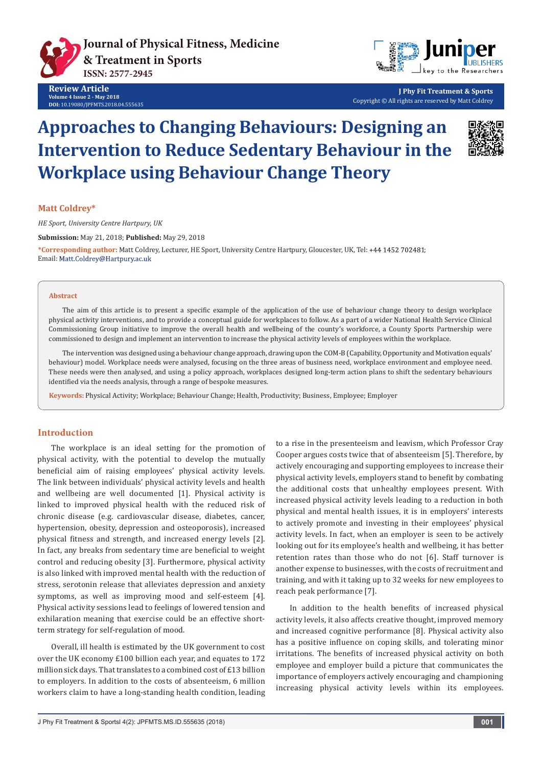



**J Phy Fit Treatment & Sports** Copyright © All rights are reserved by Matt Coldrey

# **Approaches to Changing Behaviours: Designing an Intervention to Reduce Sedentary Behaviour in the Workplace using Behaviour Change Theory**



#### **Matt Coldrey\***

*HE Sport, University Centre Hartpury, UK*

**Submission:** May 21, 2018; **Published:** May 29, 2018

**\*Corresponding author:** Matt Coldrey, Lecturer, HE Sport, University Centre Hartpury, Gloucester, UK, Tel: ; Email: Matt.Coldrey@Hartpury.ac.uk

#### **Abstract**

The aim of this article is to present a specific example of the application of the use of behaviour change theory to design workplace physical activity interventions, and to provide a conceptual guide for workplaces to follow. As a part of a wider National Health Service Clinical Commissioning Group initiative to improve the overall health and wellbeing of the county's workforce, a County Sports Partnership were commissioned to design and implement an intervention to increase the physical activity levels of employees within the workplace.

The intervention was designed using a behaviour change approach, drawing upon the COM-B (Capability, Opportunity and Motivation equals' behaviour) model. Workplace needs were analysed, focusing on the three areas of business need, workplace environment and employee need. These needs were then analysed, and using a policy approach, workplaces designed long-term action plans to shift the sedentary behaviours identified via the needs analysis, through a range of bespoke measures.

**Keywords:** Physical Activity; Workplace; Behaviour Change; Health, Productivity; Business, Employee; Employer

#### **Introduction**

The workplace is an ideal setting for the promotion of physical activity, with the potential to develop the mutually beneficial aim of raising employees' physical activity levels. The link between individuals' physical activity levels and health and wellbeing are well documented [1]. Physical activity is linked to improved physical health with the reduced risk of chronic disease (e.g. cardiovascular disease, diabetes, cancer, hypertension, obesity, depression and osteoporosis), increased physical fitness and strength, and increased energy levels [2]. In fact, any breaks from sedentary time are beneficial to weight control and reducing obesity [3]. Furthermore, physical activity is also linked with improved mental health with the reduction of stress, serotonin release that alleviates depression and anxiety symptoms, as well as improving mood and self-esteem [4]. Physical activity sessions lead to feelings of lowered tension and exhilaration meaning that exercise could be an effective shortterm strategy for self-regulation of mood.

Overall, ill health is estimated by the UK government to cost over the UK economy £100 billion each year, and equates to 172 million sick days. That translates to a combined cost of £13 billion to employers. In addition to the costs of absenteeism, 6 million workers claim to have a long-standing health condition, leading

to a rise in the presenteeism and leavism, which Professor Cray Cooper argues costs twice that of absenteeism [5]. Therefore, by actively encouraging and supporting employees to increase their physical activity levels, employers stand to benefit by combating the additional costs that unhealthy employees present. With increased physical activity levels leading to a reduction in both physical and mental health issues, it is in employers' interests to actively promote and investing in their employees' physical activity levels. In fact, when an employer is seen to be actively looking out for its employee's health and wellbeing, it has better retention rates than those who do not [6]. Staff turnover is another expense to businesses, with the costs of recruitment and training, and with it taking up to 32 weeks for new employees to reach peak performance [7].

In addition to the health benefits of increased physical activity levels, it also affects creative thought, improved memory and increased cognitive performance [8]. Physical activity also has a positive influence on coping skills, and tolerating minor irritations. The benefits of increased physical activity on both employee and employer build a picture that communicates the importance of employers actively encouraging and championing increasing physical activity levels within its employees.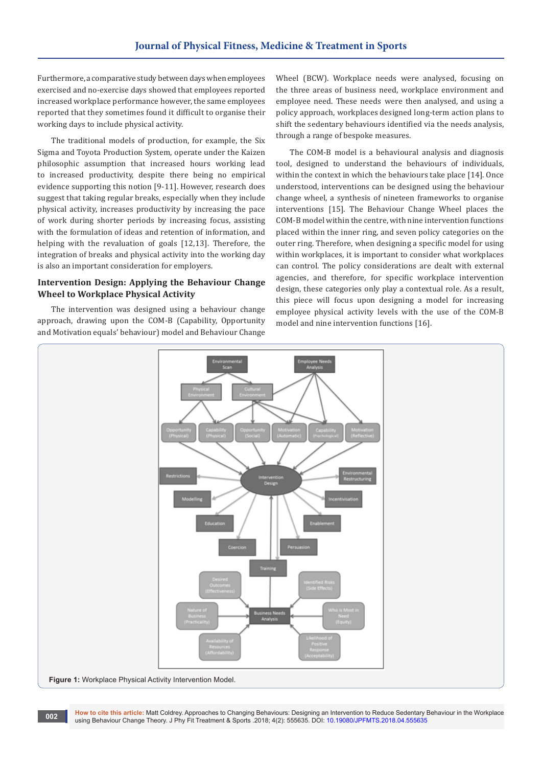Furthermore, a comparative study between days when employees exercised and no-exercise days showed that employees reported increased workplace performance however, the same employees reported that they sometimes found it difficult to organise their working days to include physical activity.

The traditional models of production, for example, the Six Sigma and Toyota Production System, operate under the Kaizen philosophic assumption that increased hours working lead to increased productivity, despite there being no empirical evidence supporting this notion [9-11]. However, research does suggest that taking regular breaks, especially when they include physical activity, increases productivity by increasing the pace of work during shorter periods by increasing focus, assisting with the formulation of ideas and retention of information, and helping with the revaluation of goals [12,13]. Therefore, the integration of breaks and physical activity into the working day is also an important consideration for employers.

#### **Intervention Design: Applying the Behaviour Change Wheel to Workplace Physical Activity**

The intervention was designed using a behaviour change approach, drawing upon the COM-B (Capability, Opportunity and Motivation equals' behaviour) model and Behaviour Change

Wheel (BCW). Workplace needs were analysed, focusing on the three areas of business need, workplace environment and employee need. These needs were then analysed, and using a policy approach, workplaces designed long-term action plans to shift the sedentary behaviours identified via the needs analysis, through a range of bespoke measures.

The COM-B model is a behavioural analysis and diagnosis tool, designed to understand the behaviours of individuals, within the context in which the behaviours take place [14]. Once understood, interventions can be designed using the behaviour change wheel, a synthesis of nineteen frameworks to organise interventions [15]. The Behaviour Change Wheel places the COM-B model within the centre, with nine intervention functions placed within the inner ring, and seven policy categories on the outer ring. Therefore, when designing a specific model for using within workplaces, it is important to consider what workplaces can control. The policy considerations are dealt with external agencies, and therefore, for specific workplace intervention design, these categories only play a contextual role. As a result, this piece will focus upon designing a model for increasing employee physical activity levels with the use of the COM-B model and nine intervention functions [16].



**How to cite this article:** Matt Coldrey. Approaches to Changing Behaviours: Designing an Intervention to Reduce Sedentary Behaviour in the Workplace using Behaviour Change Theory. J Phy Fit Treatment & Sports .2018; 4(2): 555635. DOI: [10.19080/JPFMTS.2018.04.555635](http://dx.doi.org/10.19080/jpfmts.2018.04.555635) **<sup>002</sup>**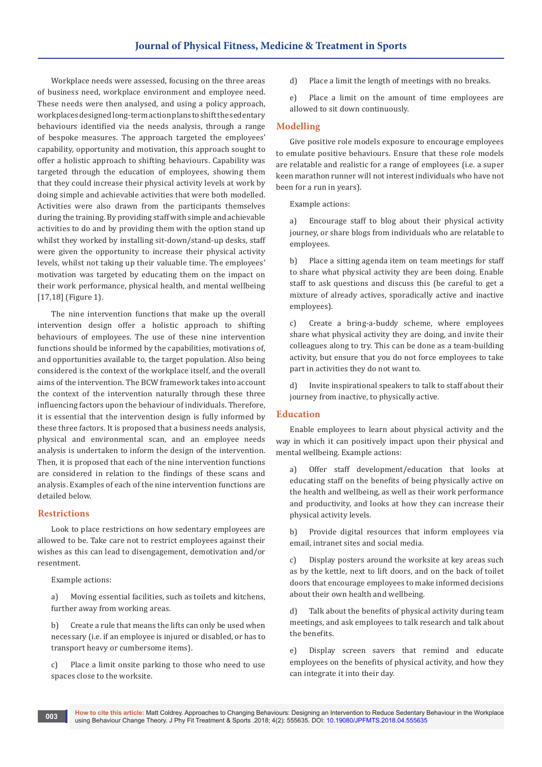Workplace needs were assessed, focusing on the three areas of business need, workplace environment and employee need. These needs were then analysed, and using a policy approach, workplaces designed long-term action plans to shift the sedentary behaviours identified via the needs analysis, through a range of bespoke measures. The approach targeted the employees' capability, opportunity and motivation, this approach sought to offer a holistic approach to shifting behaviours. Capability was targeted through the education of employees, showing them that they could increase their physical activity levels at work by doing simple and achievable activities that were both modelled. Activities were also drawn from the participants themselves during the training. By providing staff with simple and achievable activities to do and by providing them with the option stand up whilst they worked by installing sit-down/stand-up desks, staff were given the opportunity to increase their physical activity levels, whilst not taking up their valuable time. The employees' motivation was targeted by educating them on the impact on their work performance, physical health, and mental wellbeing [17,18] (Figure 1).

The nine intervention functions that make up the overall intervention design offer a holistic approach to shifting behaviours of employees. The use of these nine intervention functions should be informed by the capabilities, motivations of, and opportunities available to, the target population. Also being considered is the context of the workplace itself, and the overall aims of the intervention. The BCW framework takes into account the context of the intervention naturally through these three influencing factors upon the behaviour of individuals. Therefore, it is essential that the intervention design is fully informed by these three factors. It is proposed that a business needs analysis, physical and environmental scan, and an employee needs analysis is undertaken to inform the design of the intervention. Then, it is proposed that each of the nine intervention functions are considered in relation to the findings of these scans and analysis. Examples of each of the nine intervention functions are detailed below.

## **Restrictions**

Look to place restrictions on how sedentary employees are allowed to be. Take care not to restrict employees against their wishes as this can lead to disengagement, demotivation and/or resentment.

Example actions:

a) Moving essential facilities, such as toilets and kitchens, further away from working areas.

b) Create a rule that means the lifts can only be used when necessary (i.e. if an employee is injured or disabled, or has to transport heavy or cumbersome items).

c) Place a limit onsite parking to those who need to use spaces close to the worksite.

d) Place a limit the length of meetings with no breaks.

e) Place a limit on the amount of time employees are allowed to sit down continuously.

#### **Modelling**

Give positive role models exposure to encourage employees to emulate positive behaviours. Ensure that these role models are relatable and realistic for a range of employees (i.e. a super keen marathon runner will not interest individuals who have not been for a run in years).

Example actions:

a) Encourage staff to blog about their physical activity journey, or share blogs from individuals who are relatable to employees.

b) Place a sitting agenda item on team meetings for staff to share what physical activity they are been doing. Enable staff to ask questions and discuss this (be careful to get a mixture of already actives, sporadically active and inactive employees).

c) Create a bring-a-buddy scheme, where employees share what physical activity they are doing, and invite their colleagues along to try. This can be done as a team-building activity, but ensure that you do not force employees to take part in activities they do not want to.

d) Invite inspirational speakers to talk to staff about their journey from inactive, to physically active.

## **Education**

Enable employees to learn about physical activity and the way in which it can positively impact upon their physical and mental wellbeing. Example actions:

a) Offer staff development/education that looks at educating staff on the benefits of being physically active on the health and wellbeing, as well as their work performance and productivity, and looks at how they can increase their physical activity levels.

b) Provide digital resources that inform employees via email, intranet sites and social media.

c) Display posters around the worksite at key areas such as by the kettle, next to lift doors, and on the back of toilet doors that encourage employees to make informed decisions about their own health and wellbeing.

d) Talk about the benefits of physical activity during team meetings, and ask employees to talk research and talk about the benefits.

e) Display screen savers that remind and educate employees on the benefits of physical activity, and how they can integrate it into their day.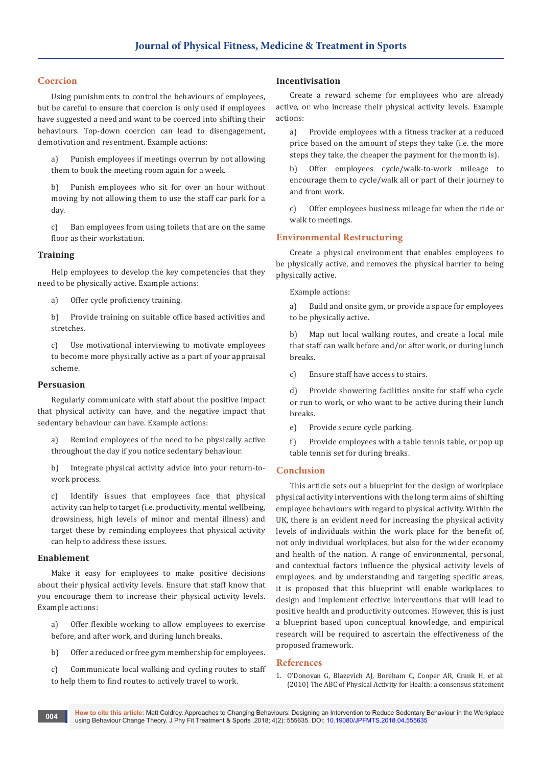### **Coercion**

Using punishments to control the behaviours of employees, but be careful to ensure that coercion is only used if employees have suggested a need and want to be coerced into shifting their behaviours. Top-down coercion can lead to disengagement, demotivation and resentment. Example actions:

a) Punish employees if meetings overrun by not allowing them to book the meeting room again for a week.

b) Punish employees who sit for over an hour without moving by not allowing them to use the staff car park for a day.

c) Ban employees from using toilets that are on the same floor as their workstation.

#### **Training**

Help employees to develop the key competencies that they need to be physically active. Example actions:

a) Offer cycle proficiency training.

b) Provide training on suitable office based activities and stretches.

c) Use motivational interviewing to motivate employees to become more physically active as a part of your appraisal scheme.

#### **Persuasion**

Regularly communicate with staff about the positive impact that physical activity can have, and the negative impact that sedentary behaviour can have. Example actions:

a) Remind employees of the need to be physically active throughout the day if you notice sedentary behaviour.

b) Integrate physical activity advice into your return-towork process.

c) Identify issues that employees face that physical activity can help to target (i.e. productivity, mental wellbeing, drowsiness, high levels of minor and mental illness) and target these by reminding employees that physical activity can help to address these issues.

#### **Enablement**

Make it easy for employees to make positive decisions about their physical activity levels. Ensure that staff know that you encourage them to increase their physical activity levels. Example actions:

a) Offer flexible working to allow employees to exercise before, and after work, and during lunch breaks.

b) Offer a reduced or free gym membership for employees.

c) Communicate local walking and cycling routes to staff to help them to find routes to actively travel to work.

#### **Incentivisation**

Create a reward scheme for employees who are already active, or who increase their physical activity levels. Example actions:

a) Provide employees with a fitness tracker at a reduced price based on the amount of steps they take (i.e. the more steps they take, the cheaper the payment for the month is).

b) Offer employees cycle/walk-to-work mileage to encourage them to cycle/walk all or part of their journey to and from work.

c) Offer employees business mileage for when the ride or walk to meetings.

# **Environmental Restructuring**

Create a physical environment that enables employees to be physically active, and removes the physical barrier to being physically active.

Example actions:

a) Build and onsite gym, or provide a space for employees to be physically active.

b) Map out local walking routes, and create a local mile that staff can walk before and/or after work, or during lunch breaks.

c) Ensure staff have access to stairs.

d) Provide showering facilities onsite for staff who cycle or run to work, or who want to be active during their lunch breaks.

e) Provide secure cycle parking.

f) Provide employees with a table tennis table, or pop up table tennis set for during breaks.

#### **Conclusion**

This article sets out a blueprint for the design of workplace physical activity interventions with the long term aims of shifting employee behaviours with regard to physical activity. Within the UK, there is an evident need for increasing the physical activity levels of individuals within the work place for the benefit of, not only individual workplaces, but also for the wider economy and health of the nation. A range of environmental, personal, and contextual factors influence the physical activity levels of employees, and by understanding and targeting specific areas, it is proposed that this blueprint will enable workplaces to design and implement effective interventions that will lead to positive health and productivity outcomes. However, this is just a blueprint based upon conceptual knowledge, and empirical research will be required to ascertain the effectiveness of the proposed framework.

#### **References**

1. [O'Donovan G, Blazevich AJ, Boreham C, Cooper AR, Crank H, et al.](https://www.ncbi.nlm.nih.gov/pubmed/20401789)  [\(2010\) The ABC of Physical Activity for Health: a consensus statement](https://www.ncbi.nlm.nih.gov/pubmed/20401789)